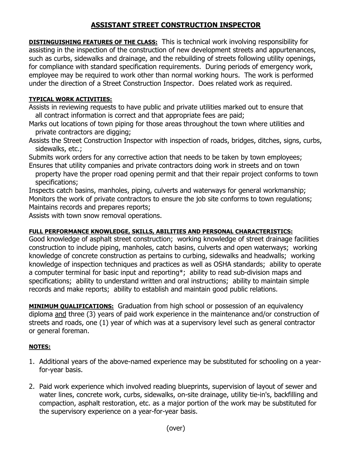## **ASSISTANT STREET CONSTRUCTION INSPECTOR**

**DISTINGUISHING FEATURES OF THE CLASS:** This is technical work involving responsibility for assisting in the inspection of the construction of new development streets and appurtenances, such as curbs, sidewalks and drainage, and the rebuilding of streets following utility openings, for compliance with standard specification requirements. During periods of emergency work, employee may be required to work other than normal working hours. The work is performed under the direction of a Street Construction Inspector. Does related work as required.

## **TYPICAL WORK ACTIVITIES:**

Assists in reviewing requests to have public and private utilities marked out to ensure that all contract information is correct and that appropriate fees are paid;

- Marks out locations of town piping for those areas throughout the town where utilities and private contractors are digging;
- Assists the Street Construction Inspector with inspection of roads, bridges, ditches, signs, curbs, sidewalks, etc.;

Submits work orders for any corrective action that needs to be taken by town employees; Ensures that utility companies and private contractors doing work in streets and on town

 property have the proper road opening permit and that their repair project conforms to town specifications;

Inspects catch basins, manholes, piping, culverts and waterways for general workmanship; Monitors the work of private contractors to ensure the job site conforms to town regulations; Maintains records and prepares reports;

Assists with town snow removal operations.

## **FULL PERFORMANCE KNOWLEDGE, SKILLS, ABILITIES AND PERSONAL CHARACTERISTICS:**

Good knowledge of asphalt street construction; working knowledge of street drainage facilities construction to include piping, manholes, catch basins, culverts and open waterways; working knowledge of concrete construction as pertains to curbing, sidewalks and headwalls; working knowledge of inspection techniques and practices as well as OSHA standards; ability to operate a computer terminal for basic input and reporting\*; ability to read sub-division maps and specifications; ability to understand written and oral instructions; ability to maintain simple records and make reports; ability to establish and maintain good public relations.

**MINIMUM QUALIFICATIONS:** Graduation from high school or possession of an equivalency diploma and three (3) years of paid work experience in the maintenance and/or construction of streets and roads, one (1) year of which was at a supervisory level such as general contractor or general foreman.

## **NOTES:**

- 1. Additional years of the above-named experience may be substituted for schooling on a yearfor-year basis.
- 2. Paid work experience which involved reading blueprints, supervision of layout of sewer and water lines, concrete work, curbs, sidewalks, on-site drainage, utility tie-in's, backfilling and compaction, asphalt restoration, etc. as a major portion of the work may be substituted for the supervisory experience on a year-for-year basis.